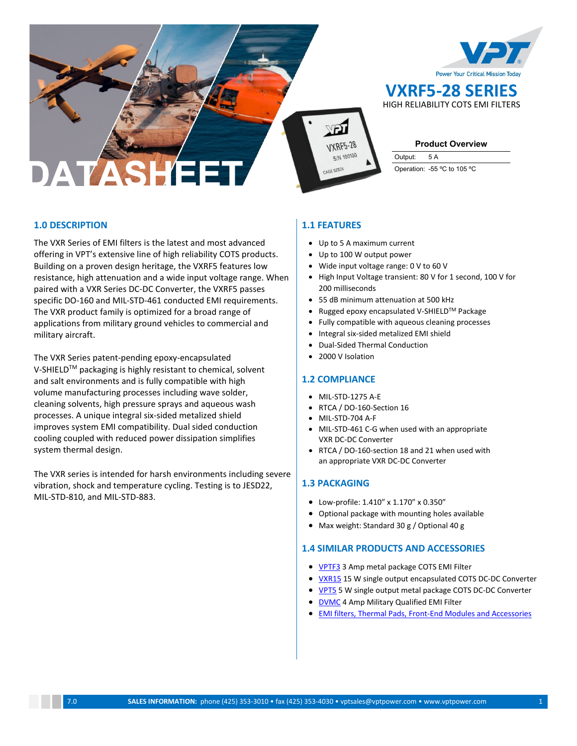



**Product Overview**

**VXRF5-28 SERIES** HIGH RELIABILITY COTS EMI FILTERS

Output: 5 A Operation: -55 ºC to 105 ºC

# **1.0 DESCRIPTION**

The VXR Series of EMI filters is the latest and most advanced offering in VPT's extensive line of high reliability COTS products. Building on a proven design heritage, the VXRF5 features low resistance, high attenuation and a wide input voltage range. When paired with a VXR Series DC-DC Converter, the VXRF5 passes specific DO-160 and MIL-STD-461 conducted EMI requirements. The VXR product family is optimized for a broad range of applications from military ground vehicles to commercial and military aircraft.

The VXR Series patent-pending epoxy-encapsulated V-SHIELD<sup>™</sup> packaging is highly resistant to chemical, solvent and salt environments and is fully compatible with high volume manufacturing processes including wave solder, cleaning solvents, high pressure sprays and aqueous wash processes. A unique integral six-sided metalized shield improves system EMI compatibility. Dual sided conduction cooling coupled with reduced power dissipation simplifies system thermal design.

The VXR series is intended for harsh environments including severe vibration, shock and temperature cycling. Testing is to JESD22, MIL-STD-810, and MIL-STD-883.

## **1.1 FEATURES**

- Up to 5 A maximum current
- Up to 100 W output power
- Wide input voltage range: 0 V to 60 V
- High Input Voltage transient: 80 V for 1 second, 100 V for 200 milliseconds
- 55 dB minimum attenuation at 500 kHz
- Rugged epoxy encapsulated V-SHIELDTM Package
- Fully compatible with aqueous cleaning processes
- Integral six-sided metalized EMI shield
- Dual-Sided Thermal Conduction
- 2000 V Isolation

## **1.2 COMPLIANCE**

- MIL-STD-1275 A-E
- RTCA / DO-160-Section 16
- MIL-STD-704 A-F
- MIL-STD-461 C-G when used with an appropriate VXR DC-DC Converter
- RTCA / DO-160-section 18 and 21 when used with an appropriate VXR DC-DC Converter

## **1.3 PACKAGING**

- Low-profile: 1.410" x 1.170" x 0.350"
- Optional package with mounting holes available
- Max weight: Standard 30 g / Optional 40 g

## **1.4 SIMILAR PRODUCTS AND ACCESSORIES**

- [VPTF3](http://www.vptpower.com/vpt-products/front-end-modules-accessories/vptf3-28-emi-filter/#.VUOCLPlVhBc) 3 Amp metal package COTS EMI Filter
- **VXR15** 15 W single output encapsulated COTS DC-DC Converter
- [VPT5](http://www.vptpower.com/vpt-products/cots-dc-dc-power-converters/vpt5-2800s-dc-dc-converter/#.VUKkRvlVhBc) 5 W single output metal package COTS DC-DC Converter
- **[DVMC](http://www.vptpower.com/vpt-products/front-end-modules-accessories/dvmc28-emi-filter/#.VUOCs_lVhBc)** 4 Amp Military Qualified EMI Filter
- [EMI filters,](http://www.vptpower.com/vpt-products/front-end-modules-accessories/) [Thermal Pads,](http://www.vptpower.com/vpt-products/thermal-pads/) [Front-End Modules and Accessories](http://www.vptpower.com/vpt-products/front-end-modules-accessories/)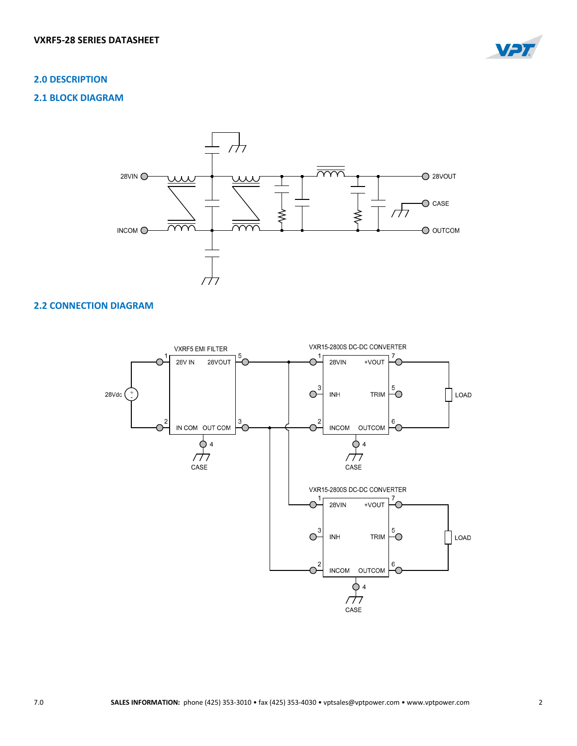

## **2.0 DESCRIPTION**

## **2.1 BLOCK DIAGRAM**



# **2.2 CONNECTION DIAGRAM**

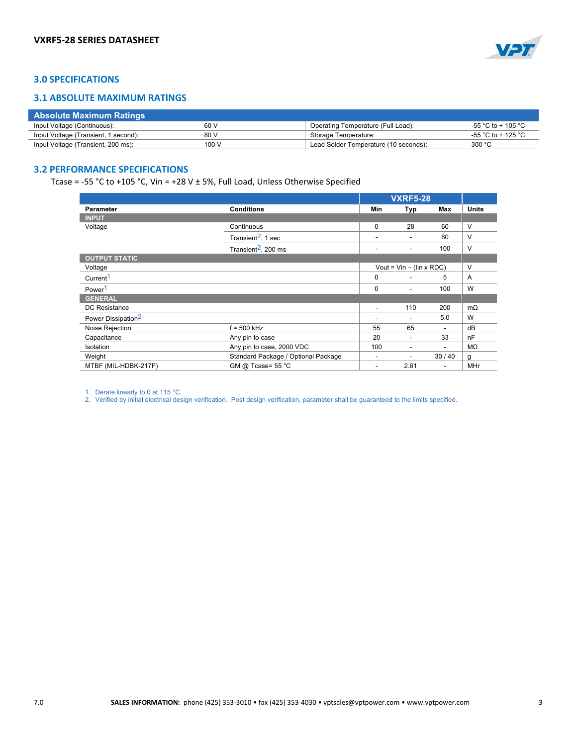

# **3.0 SPECIFICATIONS**

## **3.1 ABSOLUTE MAXIMUM RATINGS**

| <b>Absolute Maximum Ratings</b>      |       |                                       |                    |
|--------------------------------------|-------|---------------------------------------|--------------------|
| Input Voltage (Continuous):          | 60 V  | Operating Temperature (Full Load):    | -55 °C to + 105 °C |
| Input Voltage (Transient, 1 second): | 80 V  | Storage Temperature:                  | -55 °C to + 125 °C |
| Input Voltage (Transient, 200 ms):   | 100 V | Lead Solder Temperature (10 seconds): | 300 °C             |

# **3.2 PERFORMANCE SPECIFICATIONS**

Tcase = -55 °C to +105 °C, Vin = +28 V  $\pm$  5%, Full Load, Unless Otherwise Specified

|                                |                                     | <b>VXRF5-28</b> |                                 |                          |              |
|--------------------------------|-------------------------------------|-----------------|---------------------------------|--------------------------|--------------|
| <b>Parameter</b>               | <b>Conditions</b>                   | Min             | Typ                             | Max                      | <b>Units</b> |
| <b>INPUT</b>                   |                                     |                 |                                 |                          |              |
| Voltage                        | Continuous                          | $\mathbf 0$     | 28                              | 60                       | V            |
|                                | Transient $^2$ , 1 sec              | ٠               | $\overline{\phantom{a}}$        | 80                       | V            |
|                                | Transient $^2$ , 200 ms             |                 | ٠                               | 100                      | $\vee$       |
| <b>OUTPUT STATIC</b>           |                                     |                 |                                 |                          |              |
| Voltage                        |                                     |                 | Vout = $Vin - (lin \times RDC)$ |                          | V            |
| Current <sup>1</sup>           |                                     | $\mathbf 0$     |                                 | 5                        | A            |
| Power <sup>1</sup>             |                                     | $\mathbf 0$     | ٠                               | 100                      | W            |
| <b>GENERAL</b>                 |                                     |                 |                                 |                          |              |
| DC Resistance                  |                                     | ٠               | 110                             | 200                      | $m\Omega$    |
| Power Dissipation <sup>2</sup> |                                     |                 | $\overline{\phantom{a}}$        | 5.0                      | W            |
| Noise Rejection                | $f = 500$ kHz                       | 55              | 65                              | $\blacksquare$           | dB           |
| Capacitance                    | Any pin to case                     | 20              | $\overline{\phantom{a}}$        | 33                       | nF           |
| Isolation                      | Any pin to case, 2000 VDC           | 100             | ٠                               | $\blacksquare$           | MΩ           |
| Weight                         | Standard Package / Optional Package |                 | ٠                               | 30/40                    | g            |
| MTBF (MIL-HDBK-217F)           | GM @ Tcase= 55 °C                   |                 | 2.61                            | $\overline{\phantom{a}}$ | <b>MHr</b>   |

1. Derate linearly to 0 at 115 °C.

2. Verified by initial electrical design verification. Post design verification, parameter shall be guaranteed to the limits specified.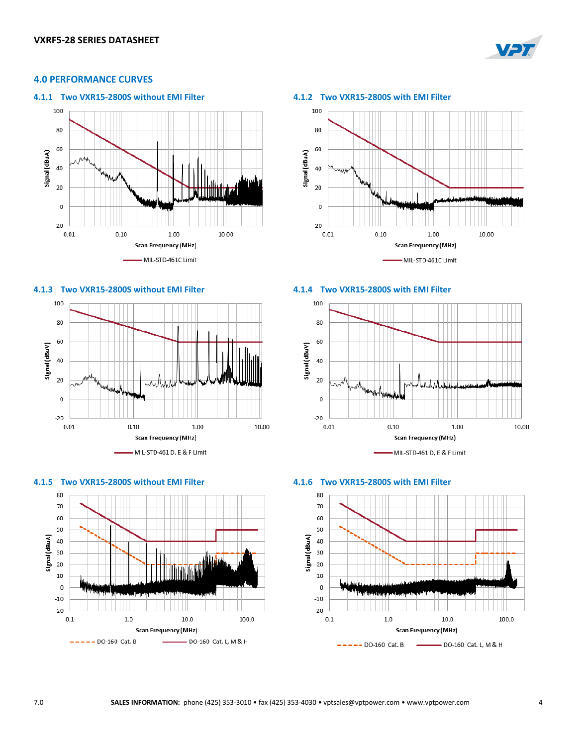

## **4.0 PERFORMANCE CURVES**





## **4.1.3 Two VXR15-2800S without EMI Filter 4.1.4 Two VXR15-2800S with EMI Filter**







### 100





### **4.1.5 Two VXR15-2800S without EMI Filter 4.1.6 Two VXR15-2800S with EMI Filter**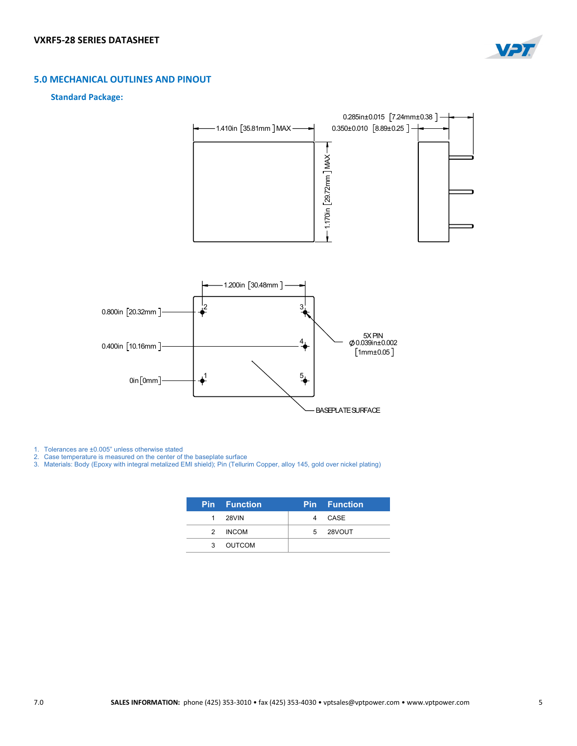

# **5.0 MECHANICAL OUTLINES AND PINOUT**

## **Standard Package:**



1. Tolerances are ±0.005" unless otherwise stated

2. Case temperature is measured on the center of the baseplate surface

3. Materials: Body (Epoxy with integral metalized EMI shield); Pin (Tellurim Copper, alloy 145, gold over nickel plating)

|   | <b>Pin Function</b> | <b>Pin</b> Function |  |
|---|---------------------|---------------------|--|
|   | 1 28VIN             | 4 CASE              |  |
|   | 2 INCOM             | 5 28VOUT            |  |
| 3 | OUTCOM              |                     |  |
|   |                     |                     |  |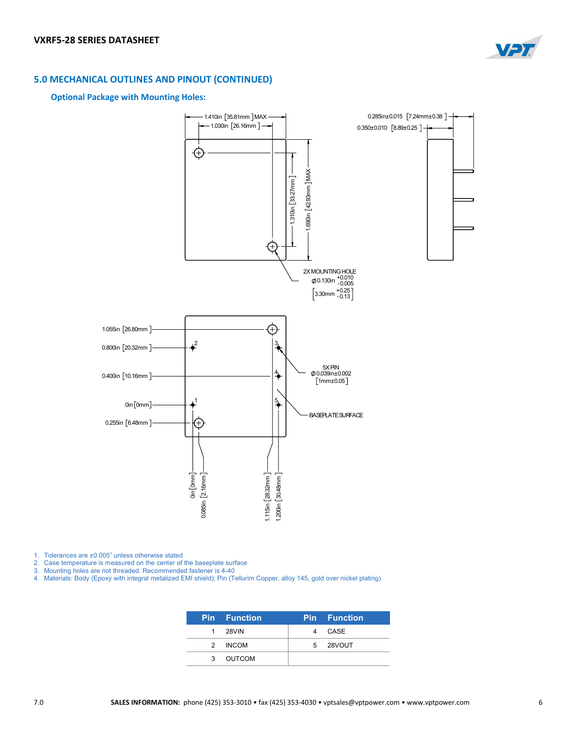

# **5.0 MECHANICAL OUTLINES AND PINOUT (CONTINUED)**

### **Optional Package with Mounting Holes:**



1. Tolerances are ±0.005" unless otherwise stated

2. Case temperature is measured on the center of the baseplate surface

3. Mounting holes are not threaded. Recommended fastener is 4-40

4. Materials: Body (Epoxy with integral metalized EMI shield); Pin (Tellurim Copper, alloy 145, gold over nickel plating)

|               | Pin Function | <b>Pin Function</b> |
|---------------|--------------|---------------------|
|               | 1 28VIN      | 4 CASE              |
| $\mathcal{P}$ | <b>INCOM</b> | 5 28VOUT            |
|               | 3 OUTCOM     |                     |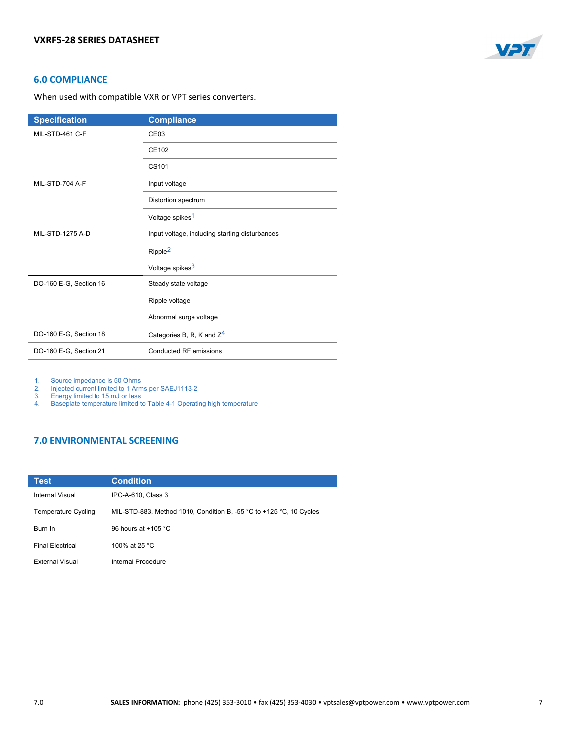

## **6.0 COMPLIANCE**

When used with compatible VXR or VPT series converters.

| <b>Specification</b>    | <b>Compliance</b>                              |  |
|-------------------------|------------------------------------------------|--|
| MIL-STD-461 C-F         | CE <sub>03</sub>                               |  |
|                         | CE102                                          |  |
|                         | CS <sub>101</sub>                              |  |
| MIL-STD-704 A-F         | Input voltage                                  |  |
|                         | Distortion spectrum                            |  |
|                         | Voltage spikes <sup>1</sup>                    |  |
| <b>MIL-STD-1275 A-D</b> | Input voltage, including starting disturbances |  |
|                         | Ripple <sup>2</sup>                            |  |
|                         | Voltage spikes <sup>3</sup>                    |  |
| DO-160 E-G, Section 16  | Steady state voltage                           |  |
|                         | Ripple voltage                                 |  |
|                         | Abnormal surge voltage                         |  |
| DO-160 E-G, Section 18  | Categories B, R, K and $Z^4$                   |  |
| DO-160 E-G, Section 21  | Conducted RF emissions                         |  |

1. Source impedance is 50 Ohms

2. Injected current limited to 1 Arms per SAEJ1113-2

3. Energy limited to 15 mJ or less

 $\frac{3}{4}$ . Baseplate temperature limited to Table 4-1 Operating high temperature

# **7.0 ENVIRONMENTAL SCREENING**

| Test                       | <b>Condition</b>                                                                        |
|----------------------------|-----------------------------------------------------------------------------------------|
| Internal Visual            | IPC-A-610, Class 3                                                                      |
| <b>Temperature Cycling</b> | MIL-STD-883, Method 1010, Condition B, -55 $^{\circ}$ C to +125 $^{\circ}$ C, 10 Cycles |
| <b>Burn In</b>             | 96 hours at $+105$ °C                                                                   |
| <b>Final Electrical</b>    | 100% at 25 °C                                                                           |
| <b>External Visual</b>     | Internal Procedure                                                                      |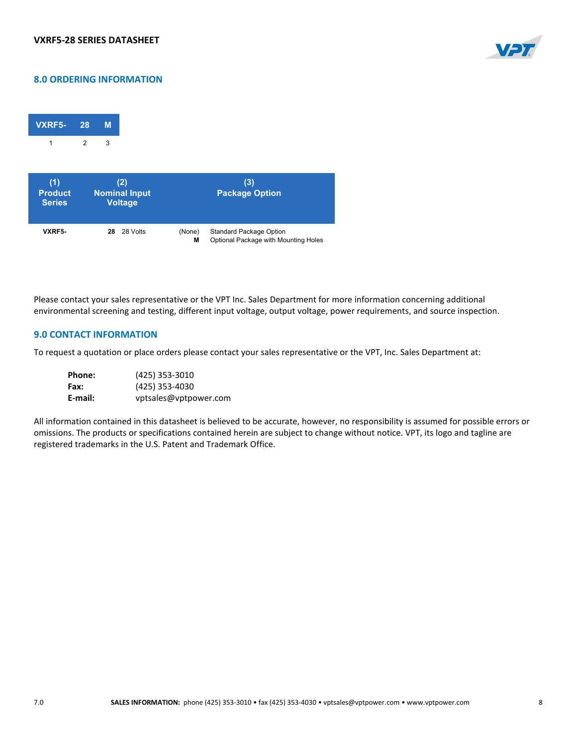

# **8.0 ORDERING INFORMATION**

| VXRF5- | 28             | м |
|--------|----------------|---|
|        | $\mathfrak{p}$ | 3 |

| (1)<br><b>Product</b><br><b>Series</b> | (2)<br><b>Nominal Input</b><br><b>Voltage</b> |        | (3)<br><b>Package Option</b>         |
|----------------------------------------|-----------------------------------------------|--------|--------------------------------------|
| VXRF5-                                 | 28 Volts                                      | (None) | <b>Standard Package Option</b>       |
|                                        | 28                                            | М      | Optional Package with Mounting Holes |

Please contact your sales representative or the VPT Inc. Sales Department for more information concerning additional environmental screening and testing, different input voltage, output voltage, power requirements, and source inspection.

## **9.0 CONTACT INFORMATION**

To request a quotation or place orders please contact your sales representative or the VPT, Inc. Sales Department at:

| <b>Phone:</b> | (425) 353-3010        |
|---------------|-----------------------|
| Fax:          | (425) 353-4030        |
| E-mail:       | vptsales@vptpower.com |

All information contained in this datasheet is believed to be accurate, however, no responsibility is assumed for possible errors or omissions. The products or specifications contained herein are subject to change without notice. VPT, its logo and tagline are registered trademarks in the U.S. Patent and Trademark Office.